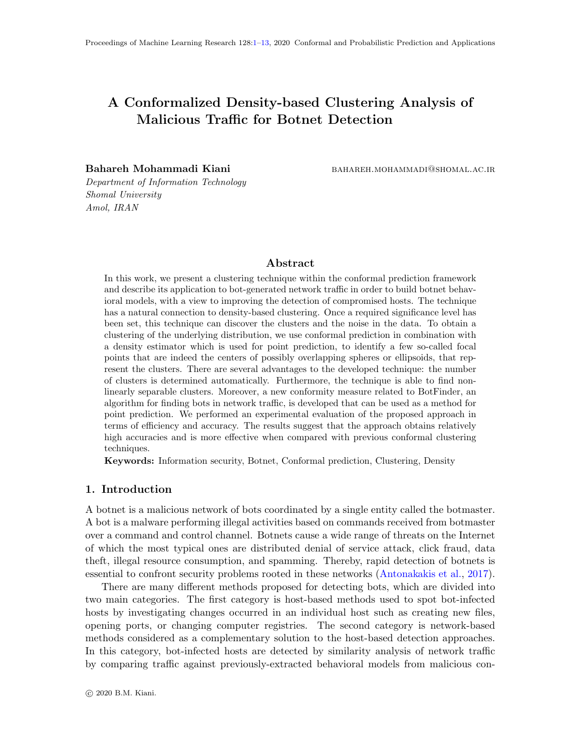# <span id="page-0-0"></span>A Conformalized Density-based Clustering Analysis of Malicious Traffic for Botnet Detection

Bahareh Mohammadi Kiani bahareh.mohammadi@shomal.ac.ir

Department of Information Technology Shomal University Amol, IRAN

# Abstract

In this work, we present a clustering technique within the conformal prediction framework and describe its application to bot-generated network traffic in order to build botnet behavioral models, with a view to improving the detection of compromised hosts. The technique has a natural connection to density-based clustering. Once a required significance level has been set, this technique can discover the clusters and the noise in the data. To obtain a clustering of the underlying distribution, we use conformal prediction in combination with a density estimator which is used for point prediction, to identify a few so-called focal points that are indeed the centers of possibly overlapping spheres or ellipsoids, that represent the clusters. There are several advantages to the developed technique: the number of clusters is determined automatically. Furthermore, the technique is able to find nonlinearly separable clusters. Moreover, a new conformity measure related to BotFinder, an algorithm for finding bots in network traffic, is developed that can be used as a method for point prediction. We performed an experimental evaluation of the proposed approach in terms of efficiency and accuracy. The results suggest that the approach obtains relatively high accuracies and is more effective when compared with previous conformal clustering techniques.

Keywords: Information security, Botnet, Conformal prediction, Clustering, Density

## 1. Introduction

A botnet is a malicious network of bots coordinated by a single entity called the botmaster. A bot is a malware performing illegal activities based on commands received from botmaster over a command and control channel. Botnets cause a wide range of threats on the Internet of which the most typical ones are distributed denial of service attack, click fraud, data theft, illegal resource consumption, and spamming. Thereby, rapid detection of botnets is essential to confront security problems rooted in these networks [\(Antonakakis et al.,](#page-11-0) [2017\)](#page-11-0).

There are many different methods proposed for detecting bots, which are divided into two main categories. The first category is host-based methods used to spot bot-infected hosts by investigating changes occurred in an individual host such as creating new files, opening ports, or changing computer registries. The second category is network-based methods considered as a complementary solution to the host-based detection approaches. In this category, bot-infected hosts are detected by similarity analysis of network traffic by comparing traffic against previously-extracted behavioral models from malicious con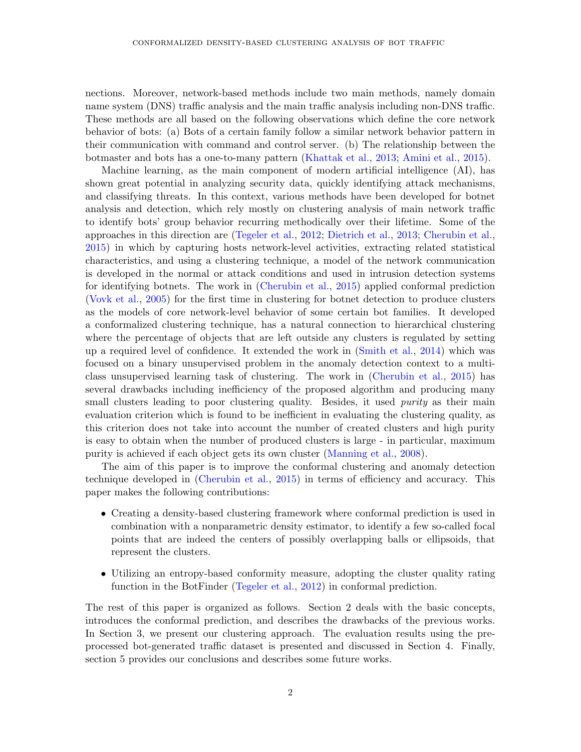nections. Moreover, network-based methods include two main methods, namely domain name system (DNS) traffic analysis and the main traffic analysis including non-DNS traffic. These methods are all based on the following observations which define the core network behavior of bots: (a) Bots of a certain family follow a similar network behavior pattern in their communication with command and control server. (b) The relationship between the botmaster and bots has a one-to-many pattern [\(Khattak et al.,](#page-11-1) [2013;](#page-11-1) [Amini et al.,](#page-11-2) [2015\)](#page-11-2).

Machine learning, as the main component of modern artificial intelligence (AI), has shown great potential in analyzing security data, quickly identifying attack mechanisms, and classifying threats. In this context, various methods have been developed for botnet analysis and detection, which rely mostly on clustering analysis of main network traffic to identify bots' group behavior recurring methodically over their lifetime. Some of the approaches in this direction are [\(Tegeler et al.,](#page-12-1) [2012;](#page-12-1) [Dietrich et al.,](#page-11-3) [2013;](#page-11-3) [Cherubin et al.,](#page-11-4) [2015\)](#page-11-4) in which by capturing hosts network-level activities, extracting related statistical characteristics, and using a clustering technique, a model of the network communication is developed in the normal or attack conditions and used in intrusion detection systems for identifying botnets. The work in [\(Cherubin et al.,](#page-11-4) [2015\)](#page-11-4) applied conformal prediction [\(Vovk et al.,](#page-12-2) [2005\)](#page-12-2) for the first time in clustering for botnet detection to produce clusters as the models of core network-level behavior of some certain bot families. It developed a conformalized clustering technique, has a natural connection to hierarchical clustering where the percentage of objects that are left outside any clusters is regulated by setting up a required level of confidence. It extended the work in [\(Smith et al.,](#page-12-3) [2014\)](#page-12-3) which was focused on a binary unsupervised problem in the anomaly detection context to a multiclass unsupervised learning task of clustering. The work in [\(Cherubin et al.,](#page-11-4) [2015\)](#page-11-4) has several drawbacks including inefficiency of the proposed algorithm and producing many small clusters leading to poor clustering quality. Besides, it used *purity* as their main evaluation criterion which is found to be inefficient in evaluating the clustering quality, as this criterion does not take into account the number of created clusters and high purity is easy to obtain when the number of produced clusters is large - in particular, maximum purity is achieved if each object gets its own cluster [\(Manning et al.,](#page-12-4) [2008\)](#page-12-4).

The aim of this paper is to improve the conformal clustering and anomaly detection technique developed in [\(Cherubin et al.,](#page-11-4) [2015\)](#page-11-4) in terms of efficiency and accuracy. This paper makes the following contributions:

- Creating a density-based clustering framework where conformal prediction is used in combination with a nonparametric density estimator, to identify a few so-called focal points that are indeed the centers of possibly overlapping balls or ellipsoids, that represent the clusters.
- Utilizing an entropy-based conformity measure, adopting the cluster quality rating function in the BotFinder [\(Tegeler et al.,](#page-12-1) [2012\)](#page-12-1) in conformal prediction.

The rest of this paper is organized as follows. Section 2 deals with the basic concepts, introduces the conformal prediction, and describes the drawbacks of the previous works. In Section 3, we present our clustering approach. The evaluation results using the preprocessed bot-generated traffic dataset is presented and discussed in Section 4. Finally, section 5 provides our conclusions and describes some future works.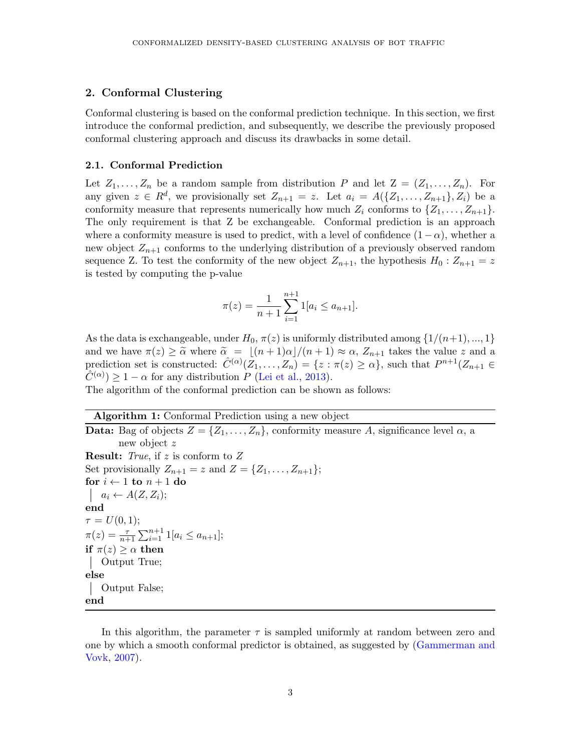## 2. Conformal Clustering

Conformal clustering is based on the conformal prediction technique. In this section, we first introduce the conformal prediction, and subsequently, we describe the previously proposed conformal clustering approach and discuss its drawbacks in some detail.

#### 2.1. Conformal Prediction

Let  $Z_1, \ldots, Z_n$  be a random sample from distribution P and let  $Z = (Z_1, \ldots, Z_n)$ . For any given  $z \in R^d$ , we provisionally set  $Z_{n+1} = z$ . Let  $a_i = A(\{Z_1, \ldots, Z_{n+1}\}, Z_i)$  be a conformity measure that represents numerically how much  $Z_i$  conforms to  $\{Z_1, \ldots, Z_{n+1}\}.$ The only requirement is that Z be exchangeable. Conformal prediction is an approach where a conformity measure is used to predict, with a level of confidence  $(1 - \alpha)$ , whether a new object  $Z_{n+1}$  conforms to the underlying distribution of a previously observed random sequence Z. To test the conformity of the new object  $Z_{n+1}$ , the hypothesis  $H_0: Z_{n+1} = z$ is tested by computing the p-value

$$
\pi(z) = \frac{1}{n+1} \sum_{i=1}^{n+1} 1[a_i \le a_{n+1}].
$$

As the data is exchangeable, under  $H_0$ ,  $\pi(z)$  is uniformly distributed among  $\{1/(n+1), ..., 1\}$ and we have  $\pi(z) \geq \tilde{\alpha}$  where  $\tilde{\alpha} = \lfloor (n + 1)\alpha \rfloor / (n + 1) \approx \alpha$ ,  $Z_{n+1}$  takes the value z and a prediction set is constructed:  $\hat{C}^{(\alpha)}(Z_1,\ldots,Z_n) = \{z : \pi(z) \geq \alpha\}$ , such that  $P^{n+1}(Z_{n+1} \in$  $\hat{C}^{(\alpha)}$  > 1 –  $\alpha$  for any distribution P [\(Lei et al.,](#page-12-5) [2013\)](#page-12-5).

The algorithm of the conformal prediction can be shown as follows:

Algorithm 1: Conformal Prediction using a new object

**Data:** Bag of objects  $Z = \{Z_1, \ldots, Z_n\}$ , conformity measure A, significance level  $\alpha$ , a new object z **Result:** True, if z is conform to  $Z$ Set provisionally  $Z_{n+1} = z$  and  $Z = \{Z_1, \ldots, Z_{n+1}\};$ for  $i \leftarrow 1$  to  $n + 1$  do  $a_i \leftarrow A(Z, Z_i);$ end  $\tau = U(0, 1);$  $\pi(z) = \frac{\tau}{n+1} \sum_{i=1}^{n+1} 1[a_i \le a_{n+1}];$ if  $\pi(z) \geq \alpha$  then Output True; else Output False; end

In this algorithm, the parameter  $\tau$  is sampled uniformly at random between zero and one by which a smooth conformal predictor is obtained, as suggested by [\(Gammerman and](#page-11-5) [Vovk,](#page-11-5) [2007\)](#page-11-5).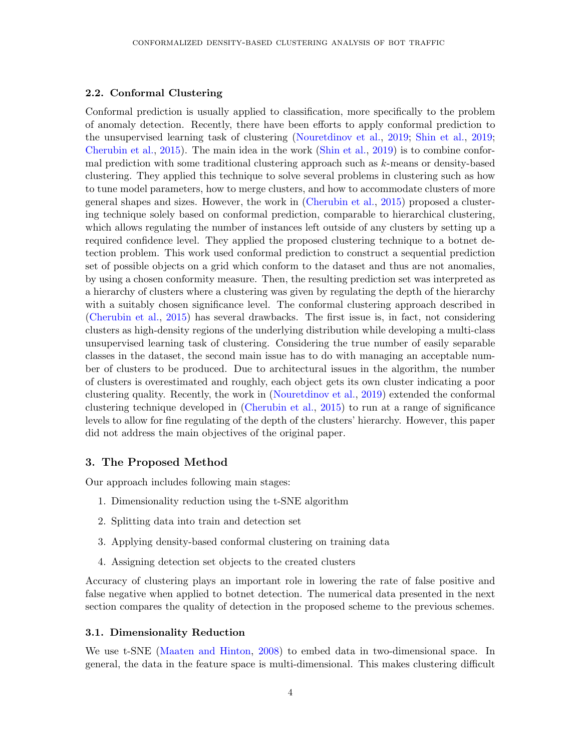## 2.2. Conformal Clustering

Conformal prediction is usually applied to classification, more specifically to the problem of anomaly detection. Recently, there have been efforts to apply conformal prediction to the unsupervised learning task of clustering [\(Nouretdinov et al.,](#page-12-6) [2019;](#page-12-6) [Shin et al.,](#page-12-7) [2019;](#page-12-7) [Cherubin et al.,](#page-11-4) [2015\)](#page-11-4). The main idea in the work [\(Shin et al.,](#page-12-7) [2019\)](#page-12-7) is to combine conformal prediction with some traditional clustering approach such as  $k$ -means or density-based clustering. They applied this technique to solve several problems in clustering such as how to tune model parameters, how to merge clusters, and how to accommodate clusters of more general shapes and sizes. However, the work in [\(Cherubin et al.,](#page-11-4) [2015\)](#page-11-4) proposed a clustering technique solely based on conformal prediction, comparable to hierarchical clustering, which allows regulating the number of instances left outside of any clusters by setting up a required confidence level. They applied the proposed clustering technique to a botnet detection problem. This work used conformal prediction to construct a sequential prediction set of possible objects on a grid which conform to the dataset and thus are not anomalies, by using a chosen conformity measure. Then, the resulting prediction set was interpreted as a hierarchy of clusters where a clustering was given by regulating the depth of the hierarchy with a suitably chosen significance level. The conformal clustering approach described in [\(Cherubin et al.,](#page-11-4) [2015\)](#page-11-4) has several drawbacks. The first issue is, in fact, not considering clusters as high-density regions of the underlying distribution while developing a multi-class unsupervised learning task of clustering. Considering the true number of easily separable classes in the dataset, the second main issue has to do with managing an acceptable number of clusters to be produced. Due to architectural issues in the algorithm, the number of clusters is overestimated and roughly, each object gets its own cluster indicating a poor clustering quality. Recently, the work in [\(Nouretdinov et al.,](#page-12-6) [2019\)](#page-12-6) extended the conformal clustering technique developed in [\(Cherubin et al.,](#page-11-4) [2015\)](#page-11-4) to run at a range of significance levels to allow for fine regulating of the depth of the clusters' hierarchy. However, this paper did not address the main objectives of the original paper.

#### 3. The Proposed Method

Our approach includes following main stages:

- 1. Dimensionality reduction using the t-SNE algorithm
- 2. Splitting data into train and detection set
- 3. Applying density-based conformal clustering on training data
- 4. Assigning detection set objects to the created clusters

Accuracy of clustering plays an important role in lowering the rate of false positive and false negative when applied to botnet detection. The numerical data presented in the next section compares the quality of detection in the proposed scheme to the previous schemes.

# 3.1. Dimensionality Reduction

We use t-SNE [\(Maaten and Hinton,](#page-12-8) [2008\)](#page-12-8) to embed data in two-dimensional space. In general, the data in the feature space is multi-dimensional. This makes clustering difficult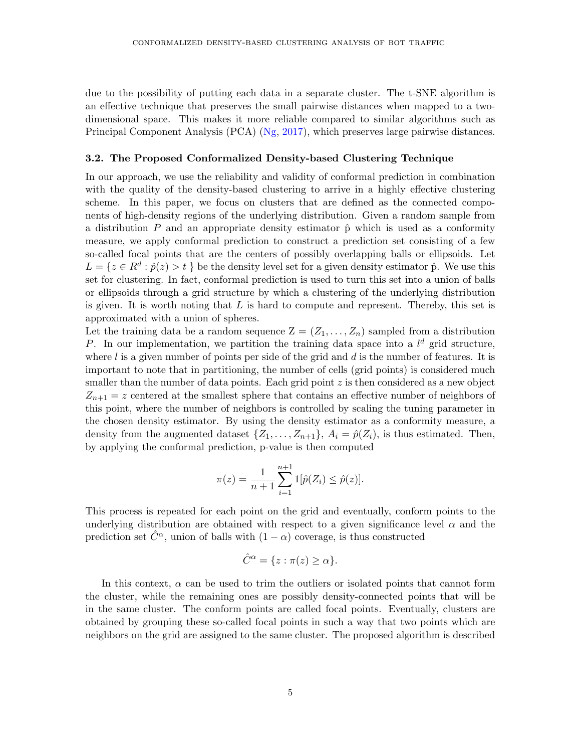due to the possibility of putting each data in a separate cluster. The t-SNE algorithm is an effective technique that preserves the small pairwise distances when mapped to a twodimensional space. This makes it more reliable compared to similar algorithms such as Principal Component Analysis (PCA) [\(Ng,](#page-12-9) [2017\)](#page-12-9), which preserves large pairwise distances.

#### 3.2. The Proposed Conformalized Density-based Clustering Technique

In our approach, we use the reliability and validity of conformal prediction in combination with the quality of the density-based clustering to arrive in a highly effective clustering scheme. In this paper, we focus on clusters that are defined as the connected components of high-density regions of the underlying distribution. Given a random sample from a distribution P and an appropriate density estimator  $\hat{p}$  which is used as a conformity measure, we apply conformal prediction to construct a prediction set consisting of a few so-called focal points that are the centers of possibly overlapping balls or ellipsoids. Let  $L = \{z \in \mathbb{R}^d : \hat{p}(z) > t \}$  be the density level set for a given density estimator  $\hat{p}$ . We use this set for clustering. In fact, conformal prediction is used to turn this set into a union of balls or ellipsoids through a grid structure by which a clustering of the underlying distribution is given. It is worth noting that  $L$  is hard to compute and represent. Thereby, this set is approximated with a union of spheres.

Let the training data be a random sequence  $Z = (Z_1, \ldots, Z_n)$  sampled from a distribution P. In our implementation, we partition the training data space into a  $l^d$  grid structure, where  $l$  is a given number of points per side of the grid and  $d$  is the number of features. It is important to note that in partitioning, the number of cells (grid points) is considered much smaller than the number of data points. Each grid point  $z$  is then considered as a new object  $Z_{n+1} = z$  centered at the smallest sphere that contains an effective number of neighbors of this point, where the number of neighbors is controlled by scaling the tuning parameter in the chosen density estimator. By using the density estimator as a conformity measure, a density from the augmented dataset  $\{Z_1, \ldots, Z_{n+1}\}, A_i = \hat{p}(Z_i)$ , is thus estimated. Then, by applying the conformal prediction, p-value is then computed

$$
\pi(z) = \frac{1}{n+1} \sum_{i=1}^{n+1} 1[\hat{p}(Z_i) \le \hat{p}(z)].
$$

This process is repeated for each point on the grid and eventually, conform points to the underlying distribution are obtained with respect to a given significance level  $\alpha$  and the prediction set  $C^{\alpha}$ , union of balls with  $(1 - \alpha)$  coverage, is thus constructed

$$
\hat{C}^{\alpha} = \{ z : \pi(z) \ge \alpha \}.
$$

In this context,  $\alpha$  can be used to trim the outliers or isolated points that cannot form the cluster, while the remaining ones are possibly density-connected points that will be in the same cluster. The conform points are called focal points. Eventually, clusters are obtained by grouping these so-called focal points in such a way that two points which are neighbors on the grid are assigned to the same cluster. The proposed algorithm is described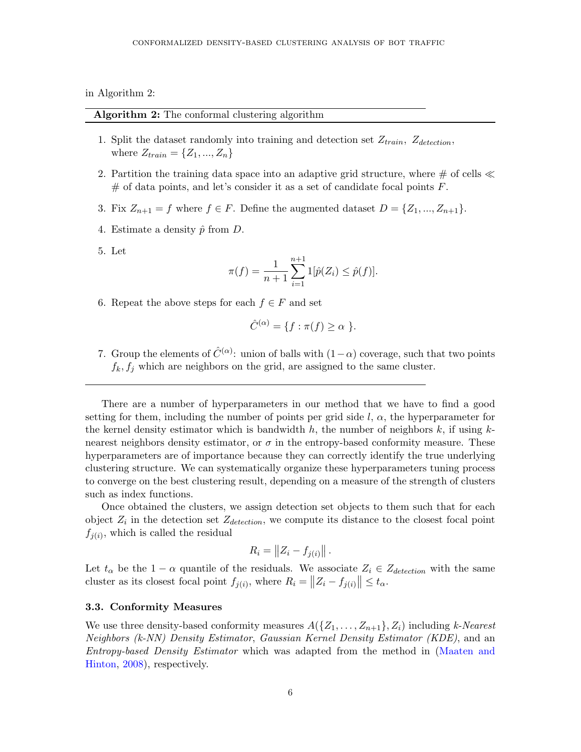in Algorithm 2:

Algorithm 2: The conformal clustering algorithm

- 1. Split the dataset randomly into training and detection set  $Z_{train}$ ,  $Z_{detection}$ , where  $Z_{train} = \{Z_1, ..., Z_n\}$
- 2. Partition the training data space into an adaptive grid structure, where  $\#$  of cells  $\ll$  $#$  of data points, and let's consider it as a set of candidate focal points  $F$ .
- 3. Fix  $Z_{n+1} = f$  where  $f \in F$ . Define the augmented dataset  $D = \{Z_1, ..., Z_{n+1}\}.$
- 4. Estimate a density  $\hat{p}$  from D.
- 5. Let

$$
\pi(f) = \frac{1}{n+1} \sum_{i=1}^{n+1} 1[\hat{p}(Z_i) \le \hat{p}(f)].
$$

6. Repeat the above steps for each  $f \in F$  and set

$$
\hat{C}^{(\alpha)} = \{ f : \pi(f) \ge \alpha \}.
$$

7. Group the elements of  $\hat{C}^{(\alpha)}$ : union of balls with  $(1-\alpha)$  coverage, such that two points  $f_k, f_j$  which are neighbors on the grid, are assigned to the same cluster.

There are a number of hyperparameters in our method that we have to find a good setting for them, including the number of points per grid side  $l, \alpha$ , the hyperparameter for the kernel density estimator which is bandwidth h, the number of neighbors k, if using  $k$ nearest neighbors density estimator, or  $\sigma$  in the entropy-based conformity measure. These hyperparameters are of importance because they can correctly identify the true underlying clustering structure. We can systematically organize these hyperparameters tuning process to converge on the best clustering result, depending on a measure of the strength of clusters such as index functions.

Once obtained the clusters, we assign detection set objects to them such that for each object  $Z_i$  in the detection set  $Z_{detection}$ , we compute its distance to the closest focal point  $f_{j(i)}$ , which is called the residual

$$
R_i = \|Z_i - f_{j(i)}\|.
$$

Let  $t_{\alpha}$  be the 1 –  $\alpha$  quantile of the residuals. We associate  $Z_i \in Z_{detection}$  with the same cluster as its closest focal point  $f_{j(i)}$ , where  $R_i = ||Z_i - f_{j(i)}|| \le t_\alpha$ .

#### 3.3. Conformity Measures

We use three density-based conformity measures  $A(\{Z_1, \ldots, Z_{n+1}\}, Z_i)$  including k-Nearest Neighbors (k-NN) Density Estimator, Gaussian Kernel Density Estimator (KDE), and an Entropy-based Density Estimator which was adapted from the method in [\(Maaten and](#page-12-8) [Hinton,](#page-12-8) [2008\)](#page-12-8), respectively.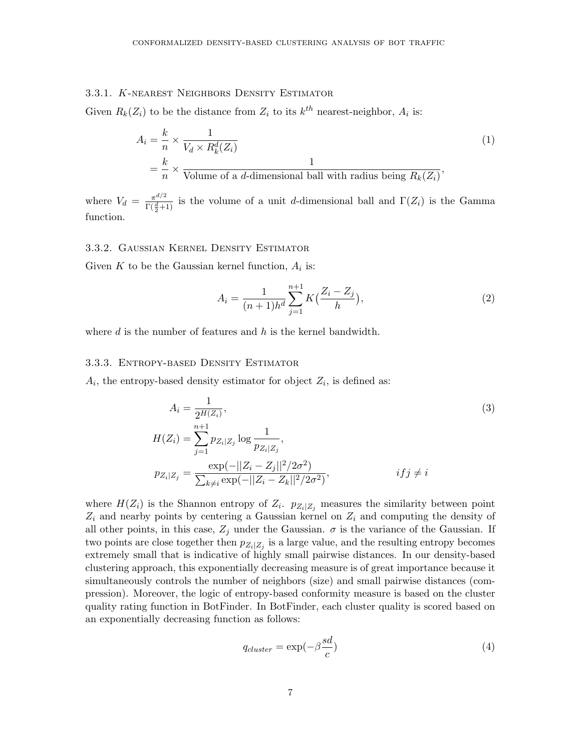## 3.3.1. K-nearest Neighbors Density Estimator

Given  $R_k(Z_i)$  to be the distance from  $Z_i$  to its  $k^{th}$  nearest-neighbor,  $A_i$  is:

$$
A_i = \frac{k}{n} \times \frac{1}{V_d \times R_k^d(Z_i)}
$$
  
=  $\frac{k}{n} \times \frac{1}{\text{Volume of a } d\text{-dimensional ball with radius being } R_k(Z_i)},$  (1)

where  $V_d = \frac{\pi^{d/2}}{\Gamma(d)}$  $\frac{\pi^{a/2}}{\Gamma(\frac{d}{2}+1)}$  is the volume of a unit d-dimensional ball and  $\Gamma(Z_i)$  is the Gamma function.

#### 3.3.2. Gaussian Kernel Density Estimator

Given K to be the Gaussian kernel function,  $A_i$  is:

$$
A_i = \frac{1}{(n+1)h^d} \sum_{j=1}^{n+1} K\left(\frac{Z_i - Z_j}{h}\right),\tag{2}
$$

where  $d$  is the number of features and  $h$  is the kernel bandwidth.

#### 3.3.3. Entropy-based Density Estimator

 $A_i$ , the entropy-based density estimator for object  $Z_i$ , is defined as:

$$
A_{i} = \frac{1}{2^{H(Z_{i})}},
$$
  
\n
$$
H(Z_{i}) = \sum_{j=1}^{n+1} p_{Z_{i}|Z_{j}} \log \frac{1}{p_{Z_{i}|Z_{j}}},
$$
  
\n
$$
p_{Z_{i}|Z_{j}} = \frac{\exp(-||Z_{i} - Z_{j}||^{2}/2\sigma^{2})}{\sum_{k \neq i} \exp(-||Z_{i} - Z_{k}||^{2}/2\sigma^{2})},
$$
\n
$$
if j \neq i
$$
\n(3)

where  $H(Z_i)$  is the Shannon entropy of  $Z_i$ .  $p_{Z_i|Z_j}$  measures the similarity between point  $Z_i$  and nearby points by centering a Gaussian kernel on  $Z_i$  and computing the density of all other points, in this case,  $Z_j$  under the Gaussian.  $\sigma$  is the variance of the Gaussian. If two points are close together then  $p_{Z_i|Z_j}$  is a large value, and the resulting entropy becomes extremely small that is indicative of highly small pairwise distances. In our density-based clustering approach, this exponentially decreasing measure is of great importance because it simultaneously controls the number of neighbors (size) and small pairwise distances (compression). Moreover, the logic of entropy-based conformity measure is based on the cluster quality rating function in BotFinder. In BotFinder, each cluster quality is scored based on an exponentially decreasing function as follows:

$$
q_{cluster} = \exp(-\beta \frac{sd}{c})
$$
\n(4)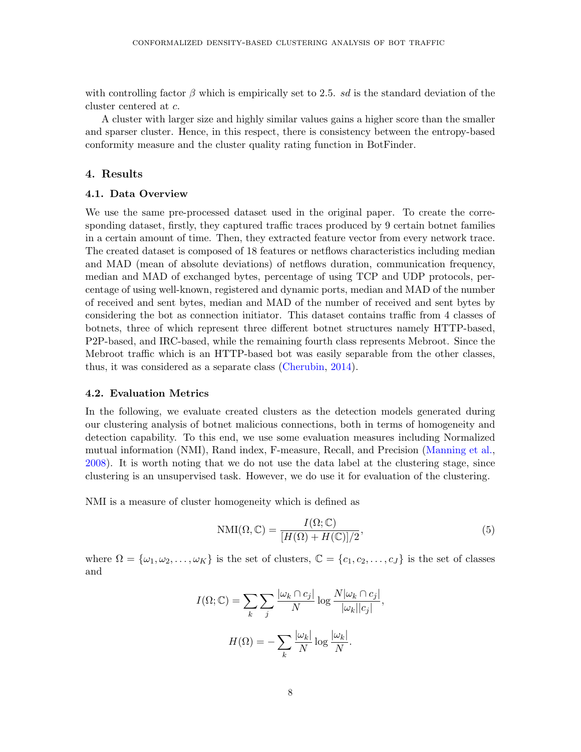with controlling factor  $\beta$  which is empirically set to 2.5. sd is the standard deviation of the cluster centered at c.

A cluster with larger size and highly similar values gains a higher score than the smaller and sparser cluster. Hence, in this respect, there is consistency between the entropy-based conformity measure and the cluster quality rating function in BotFinder.

## 4. Results

#### 4.1. Data Overview

We use the same pre-processed dataset used in the original paper. To create the corresponding dataset, firstly, they captured traffic traces produced by 9 certain botnet families in a certain amount of time. Then, they extracted feature vector from every network trace. The created dataset is composed of 18 features or netflows characteristics including median and MAD (mean of absolute deviations) of netflows duration, communication frequency, median and MAD of exchanged bytes, percentage of using TCP and UDP protocols, percentage of using well-known, registered and dynamic ports, median and MAD of the number of received and sent bytes, median and MAD of the number of received and sent bytes by considering the bot as connection initiator. This dataset contains traffic from 4 classes of botnets, three of which represent three different botnet structures namely HTTP-based, P2P-based, and IRC-based, while the remaining fourth class represents Mebroot. Since the Mebroot traffic which is an HTTP-based bot was easily separable from the other classes, thus, it was considered as a separate class [\(Cherubin,](#page-11-6) [2014\)](#page-11-6).

#### 4.2. Evaluation Metrics

In the following, we evaluate created clusters as the detection models generated during our clustering analysis of botnet malicious connections, both in terms of homogeneity and detection capability. To this end, we use some evaluation measures including Normalized mutual information (NMI), Rand index, F-measure, Recall, and Precision [\(Manning et al.,](#page-12-4) [2008\)](#page-12-4). It is worth noting that we do not use the data label at the clustering stage, since clustering is an unsupervised task. However, we do use it for evaluation of the clustering.

NMI is a measure of cluster homogeneity which is defined as

$$
NMI(\Omega, \mathbb{C}) = \frac{I(\Omega; \mathbb{C})}{[H(\Omega) + H(\mathbb{C})]/2},
$$
\n(5)

where  $\Omega = {\omega_1, \omega_2, \ldots, \omega_K}$  is the set of clusters,  $\mathbb{C} = {c_1, c_2, \ldots, c_J}$  is the set of classes and

$$
I(\Omega; \mathbb{C}) = \sum_{k} \sum_{j} \frac{|\omega_k \cap c_j|}{N} \log \frac{N |\omega_k \cap c_j|}{|\omega_k||c_j|},
$$

$$
H(\Omega) = -\sum_{k} \frac{|\omega_k|}{N} \log \frac{|\omega_k|}{N}.
$$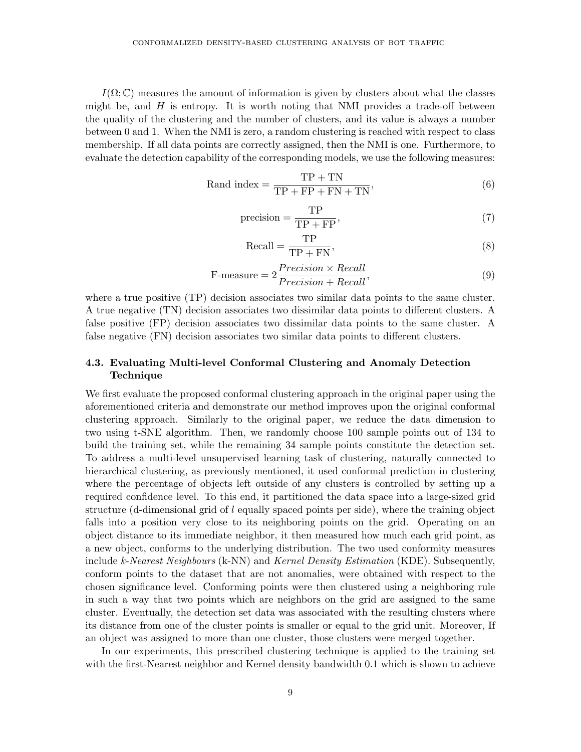$I(\Omega;\mathbb{C})$  measures the amount of information is given by clusters about what the classes might be, and  $H$  is entropy. It is worth noting that NMI provides a trade-off between the quality of the clustering and the number of clusters, and its value is always a number between 0 and 1. When the NMI is zero, a random clustering is reached with respect to class membership. If all data points are correctly assigned, then the NMI is one. Furthermore, to evaluate the detection capability of the corresponding models, we use the following measures:

$$
Rand index = \frac{TP + TN}{TP + FP + FN + TN},\tag{6}
$$

$$
precision = \frac{TP}{TP + FP},\tag{7}
$$

$$
Recall = \frac{TP}{TP + FN},
$$
\n(8)

$$
\text{F-measure} = 2 \frac{Precision \times Recall}{Precision + Recall},\tag{9}
$$

where a true positive (TP) decision associates two similar data points to the same cluster. A true negative (TN) decision associates two dissimilar data points to different clusters. A false positive (FP) decision associates two dissimilar data points to the same cluster. A false negative (FN) decision associates two similar data points to different clusters.

# 4.3. Evaluating Multi-level Conformal Clustering and Anomaly Detection Technique

We first evaluate the proposed conformal clustering approach in the original paper using the aforementioned criteria and demonstrate our method improves upon the original conformal clustering approach. Similarly to the original paper, we reduce the data dimension to two using t-SNE algorithm. Then, we randomly choose 100 sample points out of 134 to build the training set, while the remaining 34 sample points constitute the detection set. To address a multi-level unsupervised learning task of clustering, naturally connected to hierarchical clustering, as previously mentioned, it used conformal prediction in clustering where the percentage of objects left outside of any clusters is controlled by setting up a required confidence level. To this end, it partitioned the data space into a large-sized grid structure (d-dimensional grid of  $l$  equally spaced points per side), where the training object falls into a position very close to its neighboring points on the grid. Operating on an object distance to its immediate neighbor, it then measured how much each grid point, as a new object, conforms to the underlying distribution. The two used conformity measures include k-Nearest Neighbours (k-NN) and Kernel Density Estimation (KDE). Subsequently, conform points to the dataset that are not anomalies, were obtained with respect to the chosen significance level. Conforming points were then clustered using a neighboring rule in such a way that two points which are neighbors on the grid are assigned to the same cluster. Eventually, the detection set data was associated with the resulting clusters where its distance from one of the cluster points is smaller or equal to the grid unit. Moreover, If an object was assigned to more than one cluster, those clusters were merged together.

In our experiments, this prescribed clustering technique is applied to the training set with the first-Nearest neighbor and Kernel density bandwidth 0.1 which is shown to achieve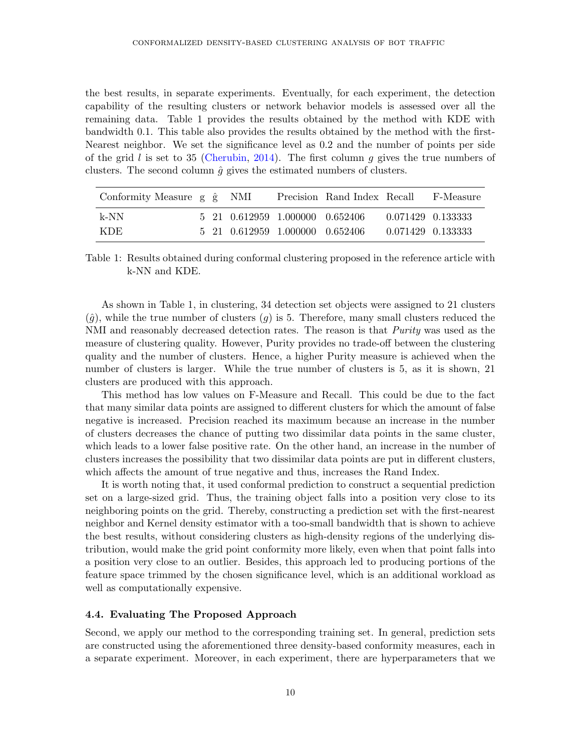the best results, in separate experiments. Eventually, for each experiment, the detection capability of the resulting clusters or network behavior models is assessed over all the remaining data. Table 1 provides the results obtained by the method with KDE with bandwidth 0.1. This table also provides the results obtained by the method with the first-Nearest neighbor. We set the significance level as 0.2 and the number of points per side of the grid l is set to 35 [\(Cherubin,](#page-11-6) [2014\)](#page-11-6). The first column q gives the true numbers of clusters. The second column  $\hat{g}$  gives the estimated numbers of clusters.

| Conformity Measure g $\hat{g}$ NMI |  |                                 | Precision Rand Index Recall F-Measure |                   |
|------------------------------------|--|---------------------------------|---------------------------------------|-------------------|
| k-NN                               |  | 5 21 0.612959 1.000000 0.652406 |                                       | 0.071429 0.133333 |
| -KDE -                             |  | 5 21 0.612959 1.000000 0.652406 |                                       | 0.071429 0.133333 |

Table 1: Results obtained during conformal clustering proposed in the reference article with k-NN and KDE.

As shown in Table 1, in clustering, 34 detection set objects were assigned to 21 clusters  $(\hat{g})$ , while the true number of clusters  $(g)$  is 5. Therefore, many small clusters reduced the NMI and reasonably decreased detection rates. The reason is that *Purity* was used as the measure of clustering quality. However, Purity provides no trade-off between the clustering quality and the number of clusters. Hence, a higher Purity measure is achieved when the number of clusters is larger. While the true number of clusters is 5, as it is shown, 21 clusters are produced with this approach.

This method has low values on F-Measure and Recall. This could be due to the fact that many similar data points are assigned to different clusters for which the amount of false negative is increased. Precision reached its maximum because an increase in the number of clusters decreases the chance of putting two dissimilar data points in the same cluster, which leads to a lower false positive rate. On the other hand, an increase in the number of clusters increases the possibility that two dissimilar data points are put in different clusters, which affects the amount of true negative and thus, increases the Rand Index.

It is worth noting that, it used conformal prediction to construct a sequential prediction set on a large-sized grid. Thus, the training object falls into a position very close to its neighboring points on the grid. Thereby, constructing a prediction set with the first-nearest neighbor and Kernel density estimator with a too-small bandwidth that is shown to achieve the best results, without considering clusters as high-density regions of the underlying distribution, would make the grid point conformity more likely, even when that point falls into a position very close to an outlier. Besides, this approach led to producing portions of the feature space trimmed by the chosen significance level, which is an additional workload as well as computationally expensive.

#### 4.4. Evaluating The Proposed Approach

Second, we apply our method to the corresponding training set. In general, prediction sets are constructed using the aforementioned three density-based conformity measures, each in a separate experiment. Moreover, in each experiment, there are hyperparameters that we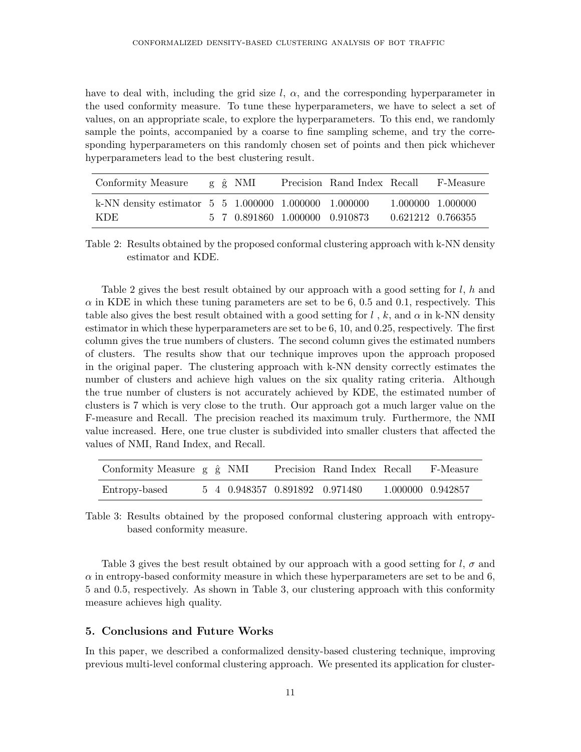have to deal with, including the grid size  $l, \alpha$ , and the corresponding hyperparameter in the used conformity measure. To tune these hyperparameters, we have to select a set of values, on an appropriate scale, to explore the hyperparameters. To this end, we randomly sample the points, accompanied by a coarse to fine sampling scheme, and try the corresponding hyperparameters on this randomly chosen set of points and then pick whichever hyperparameters lead to the best clustering result.

| Conformity Measure                                          |  | g ĝ NMI |                                | Precision Rand Index Recall | F-Measure         |
|-------------------------------------------------------------|--|---------|--------------------------------|-----------------------------|-------------------|
| k-NN density estimator $5\,5\,1.000000\,1.000000\,1.000000$ |  |         |                                |                             | 1.000000 1.000000 |
| KDE.                                                        |  |         | 5 7 0.891860 1.000000 0.910873 |                             | 0.621212 0.766355 |

Table 2: Results obtained by the proposed conformal clustering approach with k-NN density estimator and KDE.

Table 2 gives the best result obtained by our approach with a good setting for  $l, h$  and  $\alpha$  in KDE in which these tuning parameters are set to be 6, 0.5 and 0.1, respectively. This table also gives the best result obtained with a good setting for  $l$ , k, and  $\alpha$  in k-NN density estimator in which these hyperparameters are set to be 6, 10, and 0.25, respectively. The first column gives the true numbers of clusters. The second column gives the estimated numbers of clusters. The results show that our technique improves upon the approach proposed in the original paper. The clustering approach with k-NN density correctly estimates the number of clusters and achieve high values on the six quality rating criteria. Although the true number of clusters is not accurately achieved by KDE, the estimated number of clusters is 7 which is very close to the truth. Our approach got a much larger value on the F-measure and Recall. The precision reached its maximum truly. Furthermore, the NMI value increased. Here, one true cluster is subdivided into smaller clusters that affected the values of NMI, Rand Index, and Recall.

| Conformity Measure $g \hat{g}$ NMI |  |                                | Precision Rand Index Recall | F-Measure         |
|------------------------------------|--|--------------------------------|-----------------------------|-------------------|
| Entropy-based                      |  | 5 4 0.948357 0.891892 0.971480 |                             | 1.000000 0.942857 |

Table 3: Results obtained by the proposed conformal clustering approach with entropybased conformity measure.

Table 3 gives the best result obtained by our approach with a good setting for  $l, \sigma$  and  $\alpha$  in entropy-based conformity measure in which these hyperparameters are set to be and 6, 5 and 0.5, respectively. As shown in Table 3, our clustering approach with this conformity measure achieves high quality.

## 5. Conclusions and Future Works

In this paper, we described a conformalized density-based clustering technique, improving previous multi-level conformal clustering approach. We presented its application for cluster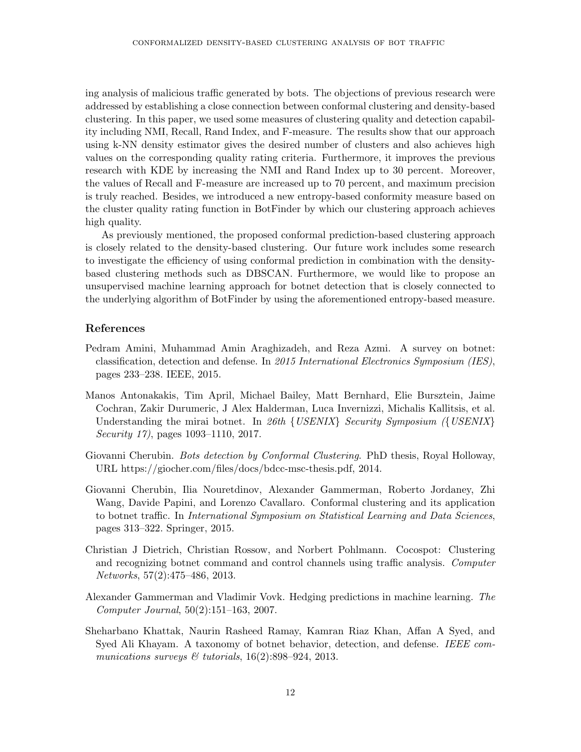ing analysis of malicious traffic generated by bots. The objections of previous research were addressed by establishing a close connection between conformal clustering and density-based clustering. In this paper, we used some measures of clustering quality and detection capability including NMI, Recall, Rand Index, and F-measure. The results show that our approach using k-NN density estimator gives the desired number of clusters and also achieves high values on the corresponding quality rating criteria. Furthermore, it improves the previous research with KDE by increasing the NMI and Rand Index up to 30 percent. Moreover, the values of Recall and F-measure are increased up to 70 percent, and maximum precision is truly reached. Besides, we introduced a new entropy-based conformity measure based on the cluster quality rating function in BotFinder by which our clustering approach achieves high quality.

As previously mentioned, the proposed conformal prediction-based clustering approach is closely related to the density-based clustering. Our future work includes some research to investigate the efficiency of using conformal prediction in combination with the densitybased clustering methods such as DBSCAN. Furthermore, we would like to propose an unsupervised machine learning approach for botnet detection that is closely connected to the underlying algorithm of BotFinder by using the aforementioned entropy-based measure.

## References

- <span id="page-11-2"></span>Pedram Amini, Muhammad Amin Araghizadeh, and Reza Azmi. A survey on botnet: classification, detection and defense. In 2015 International Electronics Symposium (IES), pages 233–238. IEEE, 2015.
- <span id="page-11-0"></span>Manos Antonakakis, Tim April, Michael Bailey, Matt Bernhard, Elie Bursztein, Jaime Cochran, Zakir Durumeric, J Alex Halderman, Luca Invernizzi, Michalis Kallitsis, et al. Understanding the mirai botnet. In 26th  $\{ \text{USENIX} \}$  Security Symposium ( $\{ \text{USENIX} \}$ ) Security 17), pages 1093–1110, 2017.
- <span id="page-11-6"></span>Giovanni Cherubin. Bots detection by Conformal Clustering. PhD thesis, Royal Holloway, URL https://giocher.com/files/docs/bdcc-msc-thesis.pdf, 2014.
- <span id="page-11-4"></span>Giovanni Cherubin, Ilia Nouretdinov, Alexander Gammerman, Roberto Jordaney, Zhi Wang, Davide Papini, and Lorenzo Cavallaro. Conformal clustering and its application to botnet traffic. In International Symposium on Statistical Learning and Data Sciences, pages 313–322. Springer, 2015.
- <span id="page-11-3"></span>Christian J Dietrich, Christian Rossow, and Norbert Pohlmann. Cocospot: Clustering and recognizing botnet command and control channels using traffic analysis. Computer Networks, 57(2):475–486, 2013.
- <span id="page-11-5"></span>Alexander Gammerman and Vladimir Vovk. Hedging predictions in machine learning. The Computer Journal, 50(2):151–163, 2007.
- <span id="page-11-1"></span>Sheharbano Khattak, Naurin Rasheed Ramay, Kamran Riaz Khan, Affan A Syed, and Syed Ali Khayam. A taxonomy of botnet behavior, detection, and defense. IEEE communications surveys  $\mathcal C$  tutorials, 16(2):898-924, 2013.